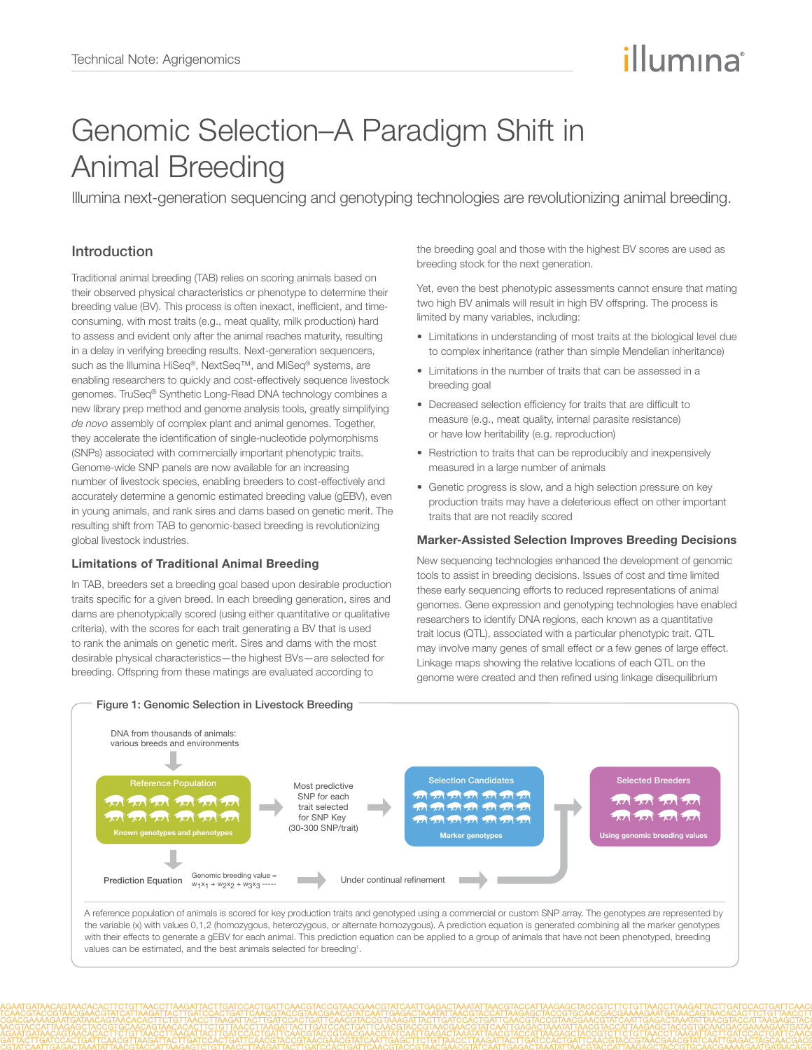# illumına

## Genomic Selection–A Paradigm Shift in Animal Breeding

Illumina next-generation sequencing and genotyping technologies are revolutionizing animal breeding.

### Introduction

Traditional animal breeding (TAB) relies on scoring animals based on their observed physical characteristics or phenotype to determine their breeding value (BV). This process is often inexact, inefficient, and timeconsuming, with most traits (e.g., meat quality, milk production) hard to assess and evident only after the animal reaches maturity, resulting in a delay in verifying breeding results. Next-generation sequencers, such as the Illumina HiSeq®, NextSeq™, and MiSeq® systems, are enabling researchers to quickly and cost-effectively sequence livestock genomes. TruSeq® Synthetic Long-Read DNA technology combines a new library prep method and genome analysis tools, greatly simplifying *de novo* assembly of complex plant and animal genomes. Together, they accelerate the identification of single-nucleotide polymorphisms (SNPs) associated with commercially important phenotypic traits. Genome-wide SNP panels are now available for an increasing number of livestock species, enabling breeders to cost-effectively and accurately determine a genomic estimated breeding value (gEBV), even in young animals, and rank sires and dams based on genetic merit. The resulting shift from TAB to genomic-based breeding is revolutionizing global livestock industries.

#### Limitations of Traditional Animal Breeding

In TAB, breeders set a breeding goal based upon desirable production traits specific for a given breed. In each breeding generation, sires and dams are phenotypically scored (using either quantitative or qualitative criteria), with the scores for each trait generating a BV that is used to rank the animals on genetic merit. Sires and dams with the most desirable physical characteristics—the highest BVs—are selected for breeding. Offspring from these matings are evaluated according to

the breeding goal and those with the highest BV scores are used as breeding stock for the next generation.

Yet, even the best phenotypic assessments cannot ensure that mating two high BV animals will result in high BV offspring. The process is limited by many variables, including:

- Limitations in understanding of most traits at the biological level due to complex inheritance (rather than simple Mendelian inheritance)
- Limitations in the number of traits that can be assessed in a breeding goal
- Decreased selection efficiency for traits that are difficult to measure (e.g., meat quality, internal parasite resistance) or have low heritability (e.g. reproduction)
- Restriction to traits that can be reproducibly and inexpensively measured in a large number of animals
- Genetic progress is slow, and a high selection pressure on key production traits may have a deleterious effect on other important traits that are not readily scored

#### Marker-Assisted Selection Improves Breeding Decisions

New sequencing technologies enhanced the development of genomic tools to assist in breeding decisions. Issues of cost and time limited these early sequencing efforts to reduced representations of animal genomes. Gene expression and genotyping technologies have enabled researchers to identify DNA regions, each known as a quantitative trait locus (QTL), associated with a particular phenotypic trait. QTL may involve many genes of small effect or a few genes of large effect. Linkage maps showing the relative locations of each QTL on the genome were created and then refined using linkage disequilibrium



values can be estimated, and the best animals selected for breeding<sup>1</sup>.